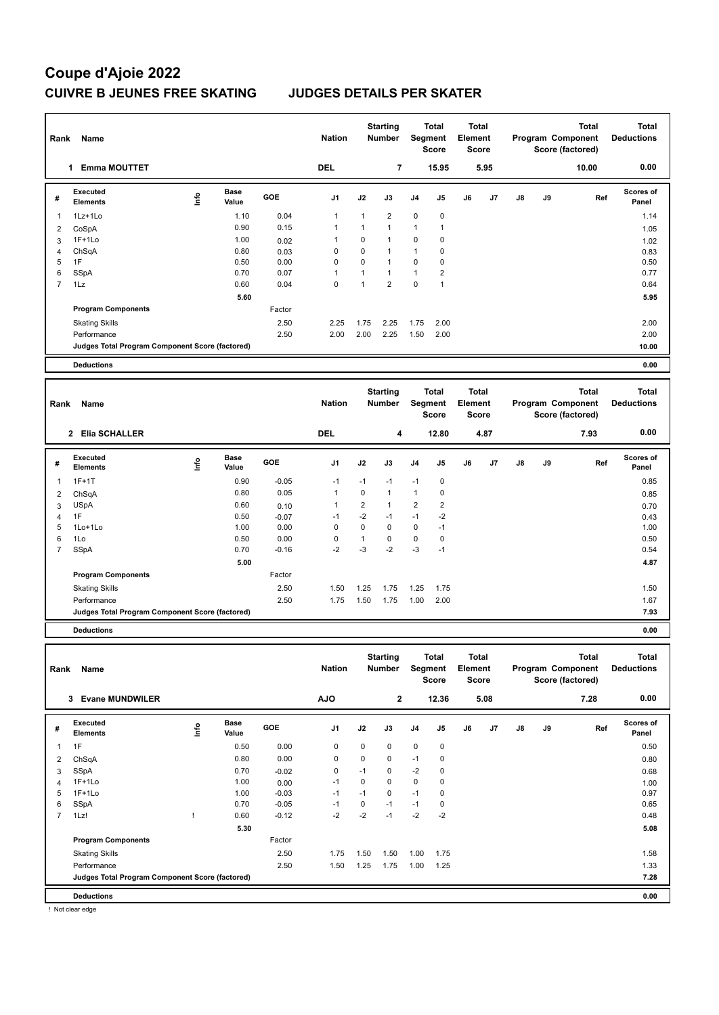# **Coupe d'Ajoie 2022 CUIVRE B JEUNES FREE SKATING JUDGES DETAILS PER SKATER**

| Rank                    | Name                                            |      |                      |         | <b>Nation</b> |                         | <b>Starting</b><br><b>Number</b> |                | <b>Total</b><br>Segment<br><b>Score</b> | <b>Total</b><br>Element<br><b>Score</b> |      |               |    | <b>Total</b><br>Program Component<br>Score (factored) | <b>Total</b><br><b>Deductions</b> |
|-------------------------|-------------------------------------------------|------|----------------------|---------|---------------|-------------------------|----------------------------------|----------------|-----------------------------------------|-----------------------------------------|------|---------------|----|-------------------------------------------------------|-----------------------------------|
|                         | 1 Emma MOUTTET                                  |      |                      |         | <b>DEL</b>    |                         | $\overline{7}$                   |                | 15.95                                   |                                         | 5.95 |               |    | 10.00                                                 | 0.00                              |
| #                       | Executed<br><b>Elements</b>                     | lnfo | <b>Base</b><br>Value | GOE     | J1            | J2                      | J3                               | J4             | J <sub>5</sub>                          | J6                                      | J7   | $\mathsf{J}8$ | J9 | Ref                                                   | <b>Scores of</b><br>Panel         |
| 1                       | 1Lz+1Lo                                         |      | 1.10                 | 0.04    | $\mathbf{1}$  | 1                       | $\overline{2}$                   | $\mathbf 0$    | $\mathbf 0$                             |                                         |      |               |    |                                                       | 1.14                              |
| $\overline{\mathbf{c}}$ | CoSpA                                           |      | 0.90                 | 0.15    | 1             | 1                       | $\overline{1}$                   | 1              | 1                                       |                                         |      |               |    |                                                       | 1.05                              |
| 3                       | $1F+1Lo$                                        |      | 1.00                 | 0.02    | $\mathbf{1}$  | $\mathbf 0$             | $\overline{1}$                   | $\mathbf 0$    | 0                                       |                                         |      |               |    |                                                       | 1.02                              |
| 4                       | ChSqA                                           |      | 0.80                 | 0.03    | 0             | $\mathbf 0$             | $\overline{1}$                   | 1              | 0                                       |                                         |      |               |    |                                                       | 0.83                              |
| 5                       | 1F                                              |      | 0.50                 | 0.00    | $\mathbf 0$   | $\mathbf 0$             | $\overline{1}$                   | $\mathbf 0$    | 0                                       |                                         |      |               |    |                                                       | 0.50                              |
| 6                       | SSpA                                            |      | 0.70                 | 0.07    | $\mathbf{1}$  | $\mathbf{1}$            | $\overline{1}$                   | $\mathbf{1}$   | $\overline{2}$                          |                                         |      |               |    |                                                       | 0.77                              |
| $\overline{7}$          | 1Lz                                             |      | 0.60                 | 0.04    | $\mathbf 0$   | $\mathbf{1}$            | $\overline{2}$                   | $\pmb{0}$      | $\mathbf{1}$                            |                                         |      |               |    |                                                       | 0.64                              |
|                         |                                                 |      | 5.60                 |         |               |                         |                                  |                |                                         |                                         |      |               |    |                                                       | 5.95                              |
|                         | <b>Program Components</b>                       |      |                      | Factor  |               |                         |                                  |                |                                         |                                         |      |               |    |                                                       |                                   |
|                         | <b>Skating Skills</b>                           |      |                      | 2.50    | 2.25          | 1.75                    | 2.25                             | 1.75           | 2.00                                    |                                         |      |               |    |                                                       | 2.00                              |
|                         | Performance                                     |      |                      | 2.50    | 2.00          | 2.00                    | 2.25                             | 1.50           | 2.00                                    |                                         |      |               |    |                                                       | 2.00                              |
|                         | Judges Total Program Component Score (factored) |      |                      |         |               |                         |                                  |                |                                         |                                         |      |               |    |                                                       | 10.00                             |
|                         | <b>Deductions</b>                               |      |                      |         |               |                         |                                  |                |                                         |                                         |      |               |    |                                                       | 0.00                              |
|                         |                                                 |      |                      |         |               |                         |                                  |                |                                         |                                         |      |               |    |                                                       |                                   |
| Rank                    | Name                                            |      |                      |         | <b>Nation</b> |                         | <b>Starting</b><br><b>Number</b> |                | <b>Total</b><br>Segment<br><b>Score</b> | <b>Total</b><br>Element<br><b>Score</b> |      |               |    | <b>Total</b><br>Program Component<br>Score (factored) | <b>Total</b><br><b>Deductions</b> |
|                         |                                                 |      |                      |         |               |                         |                                  |                |                                         |                                         |      |               |    |                                                       |                                   |
|                         | 2 Elia SCHALLER                                 |      |                      |         | <b>DEL</b>    |                         | 4                                |                | 12.80                                   |                                         | 4.87 |               |    | 7.93                                                  | 0.00                              |
| #                       | <b>Executed</b><br>Elements                     | Info | <b>Base</b><br>Value | GOE     | J1            | J2                      | J3                               | J4             | J5                                      | J6                                      | J7   | J8            | J9 | Ref                                                   | Scores of<br>Panel                |
| 1                       | $1F+1T$                                         |      | 0.90                 | $-0.05$ | $-1$          | $-1$                    | $-1$                             | $-1$           | $\pmb{0}$                               |                                         |      |               |    |                                                       | 0.85                              |
| $\overline{2}$          | ChSqA                                           |      | 0.80                 | 0.05    | $\mathbf{1}$  | $\mathbf 0$             | $\overline{1}$                   | $\mathbf{1}$   | $\pmb{0}$                               |                                         |      |               |    |                                                       | 0.85                              |
| 3                       | <b>USpA</b>                                     |      | 0.60                 | 0.10    | $\mathbf{1}$  | $\overline{\mathbf{c}}$ | $\mathbf{1}$                     | $\overline{2}$ | $\overline{\mathbf{c}}$                 |                                         |      |               |    |                                                       | 0.70                              |
| 4                       | 1F                                              |      | 0.50                 | $-0.07$ | $-1$          | $-2$                    | $-1$                             | $-1$           | $-2$                                    |                                         |      |               |    |                                                       | 0.43                              |
| 5                       | 1Lo+1Lo                                         |      | 1.00                 | 0.00    | $\mathbf 0$   | $\mathbf 0$             | $\mathbf 0$                      | 0              | $-1$                                    |                                         |      |               |    |                                                       | 1.00                              |
| 6                       | 1Lo                                             |      | 0.50                 | 0.00    | $\mathbf 0$   | $\mathbf{1}$            | $\pmb{0}$                        | $\pmb{0}$      | $\pmb{0}$                               |                                         |      |               |    |                                                       | 0.50                              |
| 7                       | <b>SSpA</b>                                     |      | 0.70                 | $-0.16$ | $-2$          | $-3$                    | $-2$                             | $-3$           | $-1$                                    |                                         |      |               |    |                                                       | 0.54                              |
|                         |                                                 |      | 5.00                 |         |               |                         |                                  |                |                                         |                                         |      |               |    |                                                       | 4.87                              |
|                         | <b>Program Components</b>                       |      |                      | Factor  |               |                         |                                  |                |                                         |                                         |      |               |    |                                                       |                                   |
|                         | <b>Skating Skills</b>                           |      |                      | 2.50    | 1.50          | 1.25                    | 1.75                             | 1.25           | 1.75                                    |                                         |      |               |    |                                                       | 1.50                              |
|                         | Performance                                     |      |                      | 2.50    | 1.75          | 1.50                    | 1.75                             | 1.00           | 2.00                                    |                                         |      |               |    |                                                       | 1.67                              |
|                         | Judges Total Program Component Score (factored) |      |                      |         |               |                         |                                  |                |                                         |                                         |      |               |    |                                                       | 7.93                              |
|                         | <b>Deductions</b>                               |      |                      |         |               |                         |                                  |                |                                         |                                         |      |               |    |                                                       | 0.00                              |
| Rank                    | Name                                            |      |                      |         | <b>Nation</b> |                         | <b>Starting</b><br><b>Number</b> |                | <b>Total</b><br>Segment<br><b>Score</b> | <b>Total</b><br>Element<br>Score        |      |               |    | <b>Total</b><br>Program Component<br>Score (factored) | <b>Total</b><br><b>Deductions</b> |
|                         | <b>Evane MUNDWILER</b><br>3                     |      |                      |         | <b>AJO</b>    |                         | $\mathbf{2}$                     |                | 12.36                                   |                                         | 5.08 |               |    | 7.28                                                  | 0.00                              |

| # | Executed<br><b>Elements</b>                     | ١nf٥ | <b>Base</b><br>Value | GOE     | J <sub>1</sub> | J2   | J3          | J <sub>4</sub> | J <sub>5</sub> | J6 | J7 | $\mathsf{J}8$ | J9 | Ref | <b>Scores of</b><br>Panel |
|---|-------------------------------------------------|------|----------------------|---------|----------------|------|-------------|----------------|----------------|----|----|---------------|----|-----|---------------------------|
|   | 1F                                              |      | 0.50                 | 0.00    | 0              | 0    | $\mathbf 0$ | 0              | 0              |    |    |               |    |     | 0.50                      |
| 2 | ChSqA                                           |      | 0.80                 | 0.00    | 0              | 0    | $\mathbf 0$ | $-1$           | 0              |    |    |               |    |     | 0.80                      |
| 3 | SSpA                                            |      | 0.70                 | $-0.02$ | 0              | $-1$ | $\mathbf 0$ | $-2$           | $\mathbf 0$    |    |    |               |    |     | 0.68                      |
| 4 | $1F+1Lo$                                        |      | 1.00                 | 0.00    | $-1$           | 0    | $\mathbf 0$ | $\mathbf 0$    | $\mathbf 0$    |    |    |               |    |     | 1.00                      |
| 5 | $1F+1Lo$                                        |      | 1.00                 | $-0.03$ | $-1$           | $-1$ | $\mathbf 0$ | $-1$           | 0              |    |    |               |    |     | 0.97                      |
| 6 | SSpA                                            |      | 0.70                 | $-0.05$ | $-1$           | 0    | $-1$        | $-1$           | $\mathbf 0$    |    |    |               |    |     | 0.65                      |
|   | 1Lz!                                            |      | 0.60                 | $-0.12$ | $-2$           | $-2$ | $-1$        | $-2$           | $-2$           |    |    |               |    |     | 0.48                      |
|   |                                                 |      | 5.30                 |         |                |      |             |                |                |    |    |               |    |     | 5.08                      |
|   | <b>Program Components</b>                       |      |                      | Factor  |                |      |             |                |                |    |    |               |    |     |                           |
|   | <b>Skating Skills</b>                           |      |                      | 2.50    | 1.75           | 1.50 | 1.50        | 1.00           | 1.75           |    |    |               |    |     | 1.58                      |
|   | Performance                                     |      |                      | 2.50    | 1.50           | 1.25 | 1.75        | 1.00           | 1.25           |    |    |               |    |     | 1.33                      |
|   | Judges Total Program Component Score (factored) |      |                      |         |                |      |             |                |                |    |    |               |    |     | 7.28                      |
|   | <b>Deductions</b>                               |      |                      |         |                |      |             |                |                |    |    |               |    |     | 0.00                      |

! Not clear edge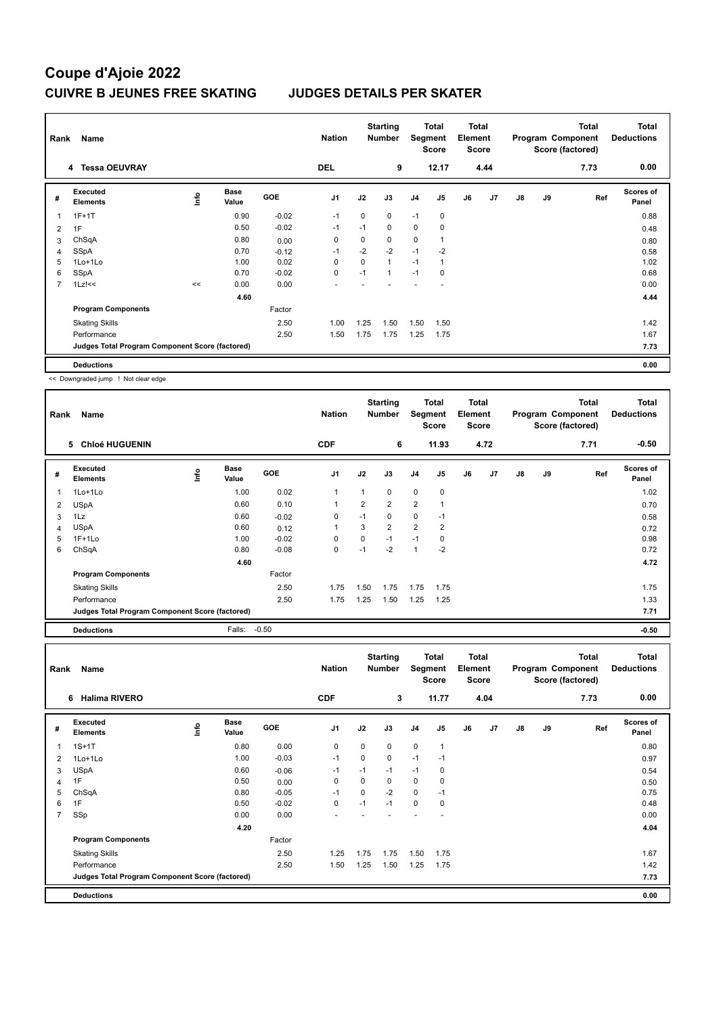## **Coupe d'Ajoie 2022 CUIVRE B JEUNES FREE SKATING JUDGES DETAILS PER SKATER**

| Rank           | Name                                            |    |                      |         | <b>Nation</b>  |             | <b>Starting</b><br><b>Number</b> | Segment        | Total<br><b>Score</b> | Total<br>Element<br><b>Score</b> |                |               |    | Total<br>Program Component<br>Score (factored) | <b>Total</b><br><b>Deductions</b> |
|----------------|-------------------------------------------------|----|----------------------|---------|----------------|-------------|----------------------------------|----------------|-----------------------|----------------------------------|----------------|---------------|----|------------------------------------------------|-----------------------------------|
|                | 4 Tessa OEUVRAY                                 |    |                      |         | <b>DEL</b>     |             | 9                                |                | 12.17                 |                                  | 4.44           |               |    | 7.73                                           | 0.00                              |
| #              | Executed<br><b>Elements</b>                     | ۴ů | <b>Base</b><br>Value | GOE     | J <sub>1</sub> | J2          | J3                               | J <sub>4</sub> | J <sub>5</sub>        | J6                               | J <sub>7</sub> | $\mathsf{J}8$ | J9 | Ref                                            | <b>Scores of</b><br>Panel         |
| 1              | $1F+1T$                                         |    | 0.90                 | $-0.02$ | $-1$           | $\Omega$    | 0                                | $-1$           | 0                     |                                  |                |               |    |                                                | 0.88                              |
| 2              | 1F                                              |    | 0.50                 | $-0.02$ | $-1$           | $-1$        | 0                                | $\mathbf 0$    | 0                     |                                  |                |               |    |                                                | 0.48                              |
| 3              | ChSqA                                           |    | 0.80                 | 0.00    | 0              | 0           | 0                                | 0              | 1                     |                                  |                |               |    |                                                | 0.80                              |
| 4              | <b>SSpA</b>                                     |    | 0.70                 | $-0.12$ | $-1$           | $-2$        | $-2$                             | $-1$           | $-2$                  |                                  |                |               |    |                                                | 0.58                              |
| 5              | $1$ Lo $+1$ Lo                                  |    | 1.00                 | 0.02    | 0              | $\mathbf 0$ | 1                                | $-1$           | 1                     |                                  |                |               |    |                                                | 1.02                              |
| 6              | SSpA                                            |    | 0.70                 | $-0.02$ | $\pmb{0}$      | $-1$        | $\mathbf{1}$                     | $-1$           | 0                     |                                  |                |               |    |                                                | 0.68                              |
| $\overline{7}$ | $1Lz$ !<<                                       | << | 0.00                 | 0.00    |                |             |                                  |                |                       |                                  |                |               |    |                                                | 0.00                              |
|                |                                                 |    | 4.60                 |         |                |             |                                  |                |                       |                                  |                |               |    |                                                | 4.44                              |
|                | <b>Program Components</b>                       |    |                      | Factor  |                |             |                                  |                |                       |                                  |                |               |    |                                                |                                   |
|                | <b>Skating Skills</b>                           |    |                      | 2.50    | 1.00           | 1.25        | 1.50                             | 1.50           | 1.50                  |                                  |                |               |    |                                                | 1.42                              |
|                | Performance                                     |    |                      | 2.50    | 1.50           | 1.75        | 1.75                             | 1.25           | 1.75                  |                                  |                |               |    |                                                | 1.67                              |
|                | Judges Total Program Component Score (factored) |    |                      |         |                |             |                                  |                |                       |                                  |                |               |    |                                                | 7.73                              |
|                | <b>Deductions</b>                               |    |                      |         |                |             |                                  |                |                       |                                  |                |               |    |                                                | 0.00                              |

<< Downgraded jump ! Not clear edge

| Rank | Name                                            |    |                      |            | <b>Nation</b>  |                | <b>Starting</b><br><b>Number</b> | Segment        | Total<br><b>Score</b> | <b>Total</b><br>Element<br><b>Score</b> |      |               |    | <b>Total</b><br>Program Component<br>Score (factored) | <b>Total</b><br><b>Deductions</b> |
|------|-------------------------------------------------|----|----------------------|------------|----------------|----------------|----------------------------------|----------------|-----------------------|-----------------------------------------|------|---------------|----|-------------------------------------------------------|-----------------------------------|
|      | <b>Chloé HUGUENIN</b><br>5                      |    |                      |            | <b>CDF</b>     |                | 6                                |                | 11.93                 |                                         | 4.72 |               |    | 7.71                                                  | $-0.50$                           |
| #    | Executed<br><b>Elements</b>                     | ۴o | <b>Base</b><br>Value | <b>GOE</b> | J <sub>1</sub> | J2             | J3                               | J <sub>4</sub> | J <sub>5</sub>        | J6                                      | J7   | $\mathsf{J}8$ | J9 | Ref                                                   | <b>Scores of</b><br>Panel         |
| 1    | 1Lo+1Lo                                         |    | 1.00                 | 0.02       | $\mathbf{1}$   |                | 0                                | $\Omega$       | $\mathbf 0$           |                                         |      |               |    |                                                       | 1.02                              |
| 2    | <b>USpA</b>                                     |    | 0.60                 | 0.10       | $\mathbf{1}$   | $\overline{2}$ | $\overline{2}$                   | $\overline{2}$ | $\overline{1}$        |                                         |      |               |    |                                                       | 0.70                              |
| 3    | 1Lz                                             |    | 0.60                 | $-0.02$    | 0              | $-1$           | 0                                | $\mathbf 0$    | $-1$                  |                                         |      |               |    |                                                       | 0.58                              |
| 4    | <b>USpA</b>                                     |    | 0.60                 | 0.12       | 1              | 3              | $\overline{2}$                   | $\overline{2}$ | 2                     |                                         |      |               |    |                                                       | 0.72                              |
| 5    | $1F+1Lo$                                        |    | 1.00                 | $-0.02$    | $\mathbf 0$    | $\mathbf 0$    | $-1$                             | $-1$           | 0                     |                                         |      |               |    |                                                       | 0.98                              |
| 6    | ChSqA                                           |    | 0.80                 | $-0.08$    | $\mathbf 0$    | $-1$           | $-2$                             | $\overline{1}$ | $-2$                  |                                         |      |               |    |                                                       | 0.72                              |
|      |                                                 |    | 4.60                 |            |                |                |                                  |                |                       |                                         |      |               |    |                                                       | 4.72                              |
|      | <b>Program Components</b>                       |    |                      | Factor     |                |                |                                  |                |                       |                                         |      |               |    |                                                       |                                   |
|      | <b>Skating Skills</b>                           |    |                      | 2.50       | 1.75           | 1.50           | 1.75                             | 1.75           | 1.75                  |                                         |      |               |    |                                                       | 1.75                              |
|      | Performance                                     |    |                      | 2.50       | 1.75           | 1.25           | 1.50                             | 1.25           | 1.25                  |                                         |      |               |    |                                                       | 1.33                              |
|      | Judges Total Program Component Score (factored) |    |                      |            |                |                |                                  |                |                       |                                         |      |               |    |                                                       | 7.71                              |
|      | <b>Deductions</b>                               |    | Falls:               | $-0.50$    |                |                |                                  |                |                       |                                         |      |               |    |                                                       | $-0.50$                           |

| Rank           | Name                                            |      |                      |            | <b>Nation</b>  |      | <b>Starting</b><br><b>Number</b> |                | <b>Total</b><br>Segment<br>Score | Total<br>Element<br>Score |      |               |    | <b>Total</b><br>Program Component<br>Score (factored) | <b>Total</b><br><b>Deductions</b> |
|----------------|-------------------------------------------------|------|----------------------|------------|----------------|------|----------------------------------|----------------|----------------------------------|---------------------------|------|---------------|----|-------------------------------------------------------|-----------------------------------|
|                | <b>Halima RIVERO</b><br>6                       |      |                      |            | <b>CDF</b>     |      | 3                                |                | 11.77                            |                           | 4.04 |               |    | 7.73                                                  | 0.00                              |
| #              | Executed<br><b>Elements</b>                     | lnfo | <b>Base</b><br>Value | <b>GOE</b> | J <sub>1</sub> | J2   | J3                               | J <sub>4</sub> | J5                               | J6                        | J7   | $\mathsf{J}8$ | J9 | Ref                                                   | <b>Scores of</b><br>Panel         |
| 1              | $1S+1T$                                         |      | 0.80                 | 0.00       | 0              | 0    | $\mathbf 0$                      | $\mathbf 0$    | $\mathbf{1}$                     |                           |      |               |    |                                                       | 0.80                              |
| 2              | 1Lo+1Lo                                         |      | 1.00                 | $-0.03$    | $-1$           | 0    | $\mathbf 0$                      | $-1$           | $-1$                             |                           |      |               |    |                                                       | 0.97                              |
| 3              | <b>USpA</b>                                     |      | 0.60                 | $-0.06$    | $-1$           | $-1$ | $-1$                             | $-1$           | 0                                |                           |      |               |    |                                                       | 0.54                              |
| 4              | 1F                                              |      | 0.50                 | 0.00       | 0              | 0    | $\mathbf 0$                      | $\mathbf 0$    | 0                                |                           |      |               |    |                                                       | 0.50                              |
| 5              | ChSqA                                           |      | 0.80                 | $-0.05$    | $-1$           | 0    | $-2$                             | 0              | $-1$                             |                           |      |               |    |                                                       | 0.75                              |
| 6              | 1F                                              |      | 0.50                 | $-0.02$    | 0              | $-1$ | $-1$                             | $\mathbf 0$    | 0                                |                           |      |               |    |                                                       | 0.48                              |
| $\overline{7}$ | SSp                                             |      | 0.00                 | 0.00       |                |      |                                  |                |                                  |                           |      |               |    |                                                       | 0.00                              |
|                |                                                 |      | 4.20                 |            |                |      |                                  |                |                                  |                           |      |               |    |                                                       | 4.04                              |
|                | <b>Program Components</b>                       |      |                      | Factor     |                |      |                                  |                |                                  |                           |      |               |    |                                                       |                                   |
|                | <b>Skating Skills</b>                           |      |                      | 2.50       | 1.25           | 1.75 | 1.75                             | 1.50           | 1.75                             |                           |      |               |    |                                                       | 1.67                              |
|                | Performance                                     |      |                      | 2.50       | 1.50           | 1.25 | 1.50                             | 1.25           | 1.75                             |                           |      |               |    |                                                       | 1.42                              |
|                | Judges Total Program Component Score (factored) |      |                      |            |                |      |                                  |                |                                  |                           |      |               |    |                                                       | 7.73                              |
|                | <b>Deductions</b>                               |      |                      |            |                |      |                                  |                |                                  |                           |      |               |    |                                                       | 0.00                              |
|                |                                                 |      |                      |            |                |      |                                  |                |                                  |                           |      |               |    |                                                       |                                   |